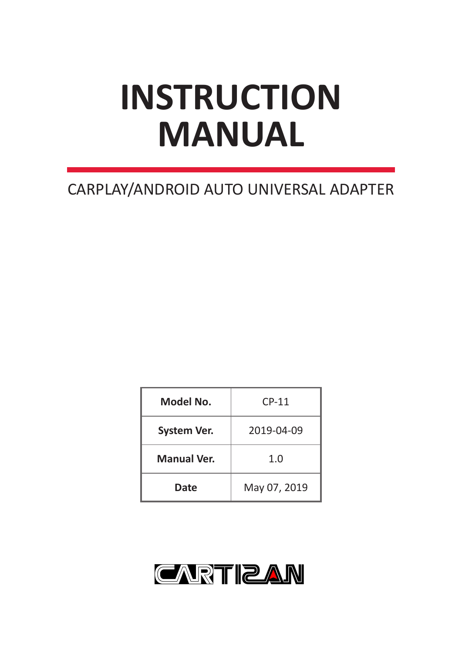# **INSTRUCTION MANUAL**

# CARPLAY/ANDROID AUTO UNIVERSAL ADAPTER

| Model No.          | $CP-11$      |  |  |  |
|--------------------|--------------|--|--|--|
| <b>System Ver.</b> | 2019-04-09   |  |  |  |
| <b>Manual Ver.</b> | 1.0          |  |  |  |
| Date               | May 07, 2019 |  |  |  |

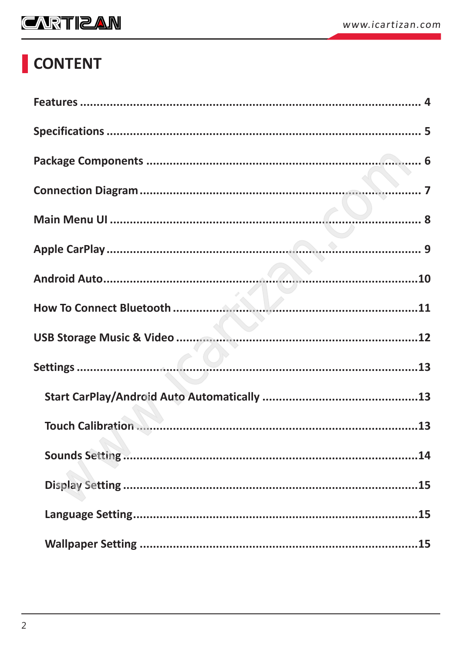# CONTENT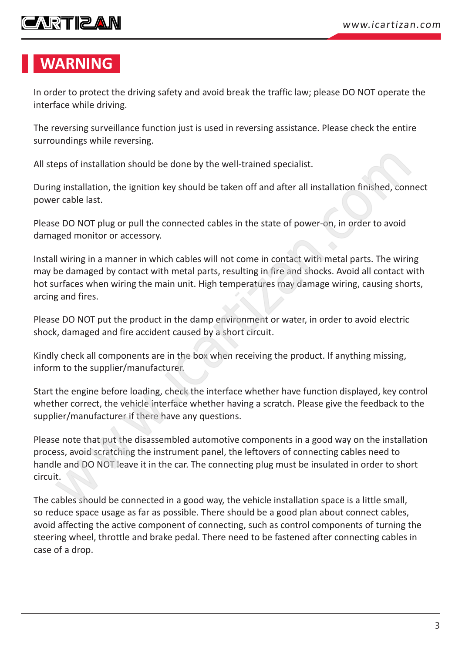## **CARTIZAN**

#### **WARNING**

In order to protect the driving safety and avoid break the traffic law; please DO NOT operate the interface while driving.

The reversing surveillance function just is used in reversing assistance. Please check the entire surroundings while reversing.

All steps of installation should be done by the well-trained specialist.

During installation, the ignition key should be taken off and after all installation finished, connect power cable last.

Please DO NOT plug or pull the connected cables in the state of power-on, in order to avoid damaged monitor or accessory.

Install wiring in a manner in which cables will not come in contact with metal parts. The wiring may be damaged by contact with metal parts, resulting in fire and shocks. Avoid all contact with hot surfaces when wiring the main unit. High temperatures may damage wiring, causing shorts, arcing and fires.

Please DO NOT put the product in the damp environment or water, in order to avoid electric shock, damaged and fire accident caused by a short circuit.

Kindly check all components are in the box when receiving the product. If anything missing, inform to the supplier/manufacturer.

Start the engine before loading, check the interface whether have function displayed, key control whether correct, the vehicle interface whether having a scratch. Please give the feedback to the supplier/manufacturer if there have any questions.

Please note that put the disassembled automotive components in a good way on the installation process, avoid scratching the instrument panel, the leftovers of connecting cables need to handle and DO NOT leave it in the car. The connecting plug must be insulated in order to short circuit. eps of installation should be done by the well-trained specialist.<br>
g installation, the ignition key should be taken off and after all installation finished, con<br>
crable last.<br>
e DO NOT plug or pull the connected cables in

The cables should be connected in a good way, the vehicle installation space is a little small, so reduce space usage as far as possible. There should be a good plan about connect cables, avoid affecting the active component of connecting, such as control components of turning the steering wheel, throttle and brake pedal. There need to be fastened after connecting cables in case of a drop.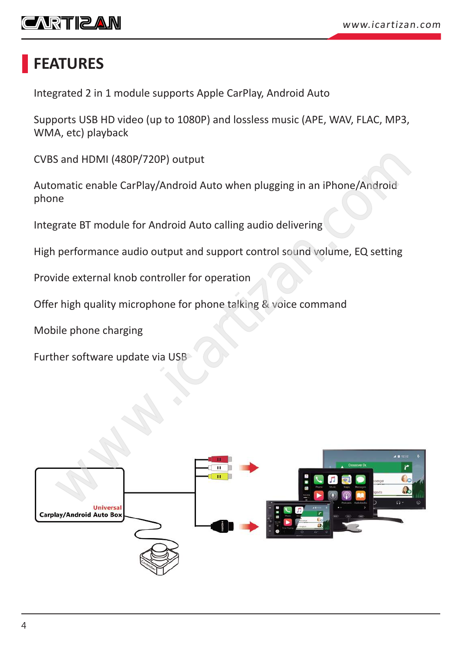<span id="page-3-0"></span>

#### **FEATURES**

Integrated 2 in 1 module supports Apple CarPlay, Android Auto

Supports USB HD video (up to 1080P) and lossless music (APE, WAV, FLAC, MP3, WMA, etc) playback

CVBS and HDMI (480P/720P) output

Automatic enable CarPlay/Android Auto when plugging in an iPhone/Android phone

Integrate BT module for Android Auto calling audio delivering

High performance audio output and support control sound volume, EQ setting

Provide external knob controller for operation

Offer high quality microphone for phone talking & voice command

Mobile phone charging

Further software update via USB

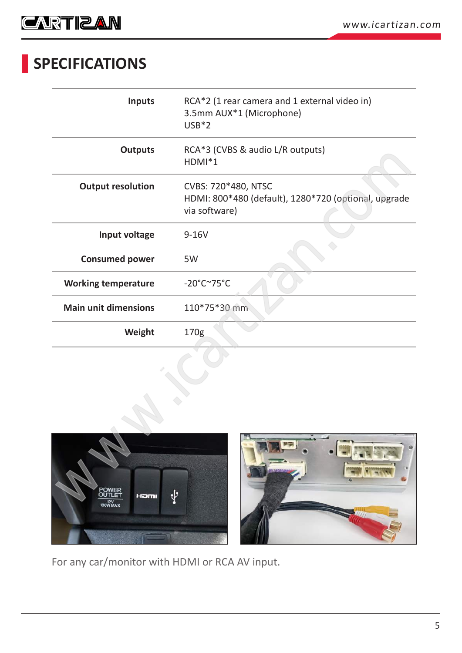<span id="page-4-0"></span>

# **SPECIFICATIONS**

| <b>Inputs</b>                    | RCA*2 (1 rear camera and 1 external video in)<br>3.5mm AUX*1 (Microphone)<br>$USB*2$         |
|----------------------------------|----------------------------------------------------------------------------------------------|
| <b>Outputs</b>                   | RCA*3 (CVBS & audio L/R outputs)<br>$HDMI*1$                                                 |
| <b>Output resolution</b>         | CVBS: 720*480, NTSC<br>HDMI: 800*480 (default), 1280*720 (optional, upgrade<br>via software) |
| Input voltage                    | $9-16V$                                                                                      |
| <b>Consumed power</b>            | 5W                                                                                           |
| <b>Working temperature</b>       | $-20^{\circ}$ C $\sim$ 75°C                                                                  |
| <b>Main unit dimensions</b>      | 110*75*30 mm                                                                                 |
| Weight                           | 170g                                                                                         |
| <b>POWER</b><br>Hamı<br>180W MAX | ٠<br>۰Þ                                                                                      |



For any car/monitor with HDMI or RCA AV input.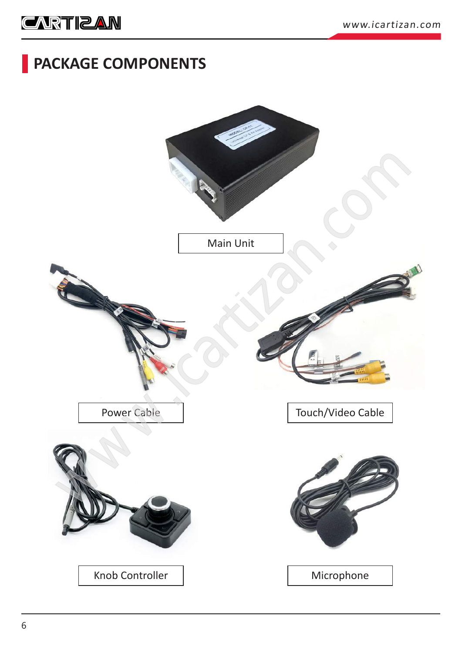#### <span id="page-5-0"></span>**PACKAGE COMPONENTS**

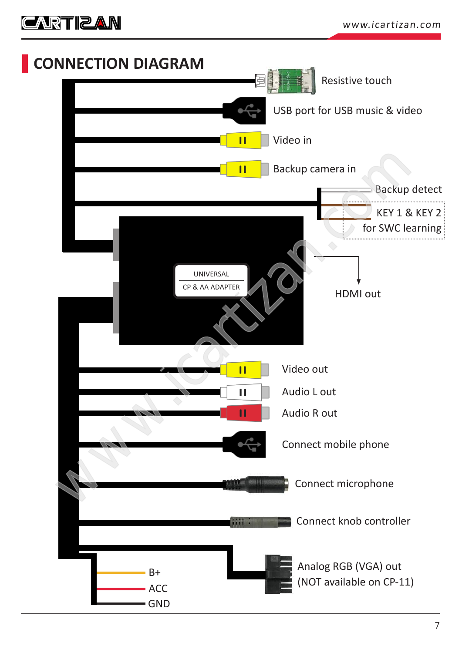<span id="page-6-0"></span>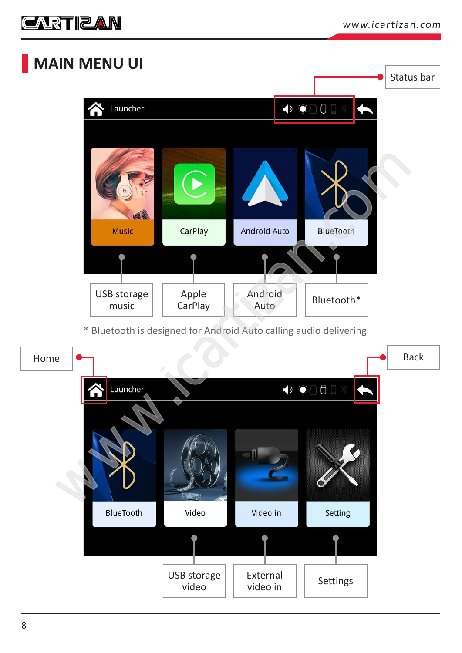<span id="page-7-0"></span>

#### **MAIN MENU UI**

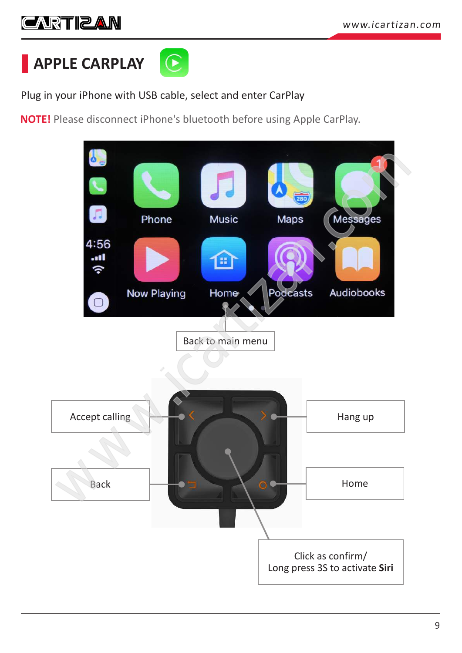# <span id="page-8-0"></span>**CARTIBAN**

**APPLE CARPLAY**



Plug in your iPhone with USB cable, select and enter CarPlay

**NOTE!** Please disconnect iPhone's bluetooth before using Apple CarPlay.

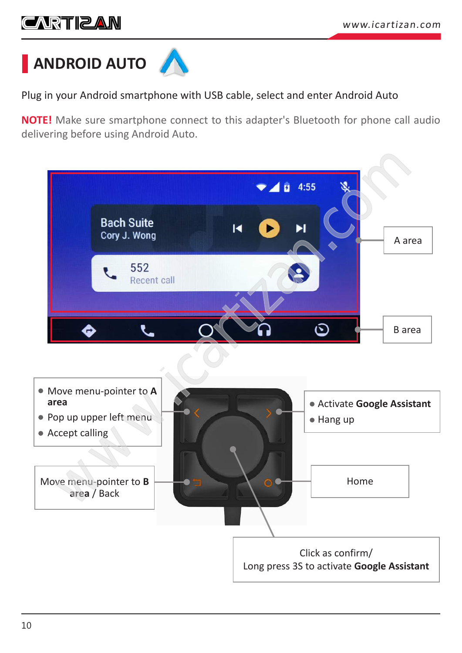## <span id="page-9-0"></span>**CARTIZAN**

![](_page_9_Picture_2.jpeg)

Plug in your Android smartphone with USB cable, select and enter Android Auto

**NOTE!** Make sure smartphone connect to this adapter's Bluetooth for phone call audio delivering before using Android Auto.

![](_page_9_Figure_5.jpeg)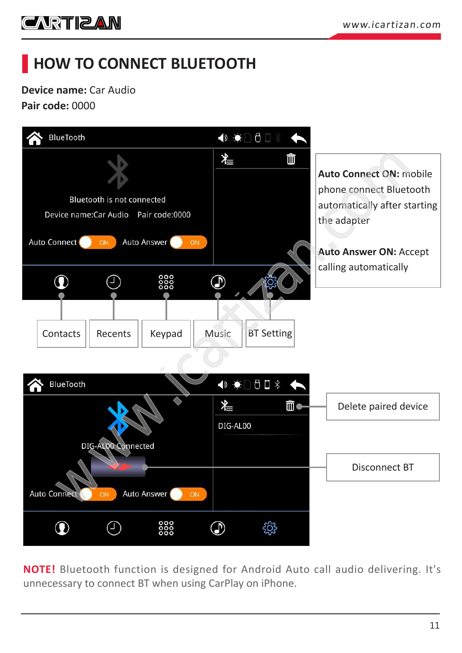<span id="page-10-0"></span>![](_page_10_Picture_1.jpeg)

# **HOW TO CONNECT BLUETOOTH**

**Device name:** Car Audio **Pair code:** 0000

![](_page_10_Figure_4.jpeg)

**NOTE!** Bluetooth function is designed for Android Auto call audio delivering. It's unnecessary to connect BT when using CarPlay on iPhone.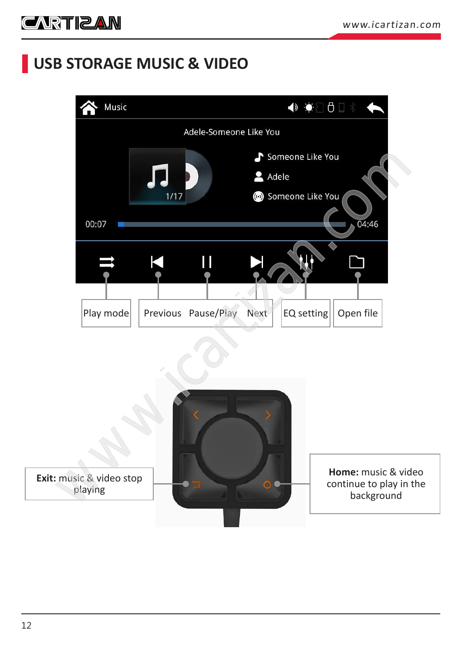## <span id="page-11-0"></span>**USB STORAGE MUSIC & VIDEO**

![](_page_11_Picture_3.jpeg)

![](_page_11_Picture_4.jpeg)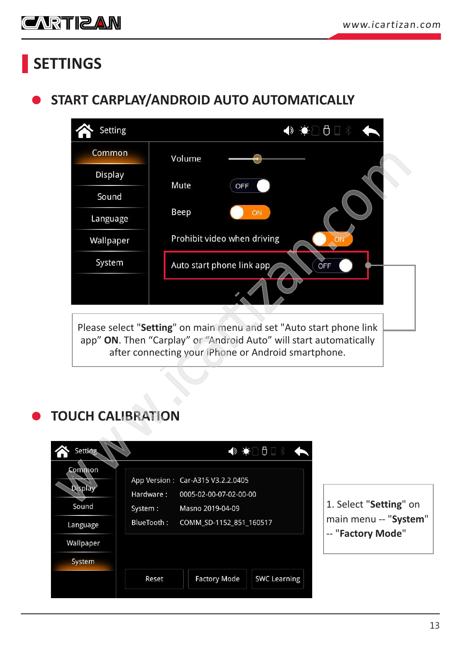<span id="page-12-0"></span>![](_page_12_Picture_1.jpeg)

# **SETTINGS**

#### **START CARPLAY/ANDROID AUTO AUTOMATICALLY**

| <b>Setting</b>                        |                                   |                                                                                                                                                                                                  | ◆ ◆ □ □ → |
|---------------------------------------|-----------------------------------|--------------------------------------------------------------------------------------------------------------------------------------------------------------------------------------------------|-----------|
| Common                                | Volume                            |                                                                                                                                                                                                  |           |
| Display                               | Mute                              | OFF                                                                                                                                                                                              |           |
| Sound                                 |                                   |                                                                                                                                                                                                  |           |
| Language                              | Beep                              | ON                                                                                                                                                                                               |           |
| Wallpaper                             |                                   | Prohibit video when driving                                                                                                                                                                      |           |
| System                                |                                   | Auto start phone link app                                                                                                                                                                        | OFF       |
|                                       |                                   |                                                                                                                                                                                                  |           |
|                                       |                                   | Please select "Setting" on main menu and set "Auto start phone link<br>app" ON. Then "Carplay" or "Android Auto" will start automatically<br>after connecting your iPhone or Android smartphone. |           |
| <b>TOUCH CALIBRATION</b>              |                                   |                                                                                                                                                                                                  |           |
|                                       |                                   |                                                                                                                                                                                                  |           |
| Setting                               |                                   | ◆ ◆ ○ ○ □ 》                                                                                                                                                                                      |           |
| Common<br><b>Display</b><br>Hardware: | App Version: Car-A315 V3.2.2.0405 | 0005-02-00-07-02-00-00                                                                                                                                                                           |           |

#### **TOUCH CALIBRATION**

| <b>Setting</b>                    |                      |                                                                                 | ◆ ◆ ○ ○ □ ≫         |
|-----------------------------------|----------------------|---------------------------------------------------------------------------------|---------------------|
| Common<br><b>Display</b><br>Sound | Hardware:<br>System: | App Version: Car-A315 V3.2.2.0405<br>0005-02-00-07-02-00-00<br>Masno 2019-04-09 |                     |
| Language                          | BlueTooth:           | COMM_SD-1152_851_160517                                                         |                     |
| Wallpaper                         |                      |                                                                                 |                     |
| System                            |                      |                                                                                 |                     |
|                                   | Reset                | <b>Factory Mode</b>                                                             | <b>SWC Learning</b> |
|                                   |                      |                                                                                 |                     |

ielect "**Setting**" on main menu -- "**System**" **Factory Mode"**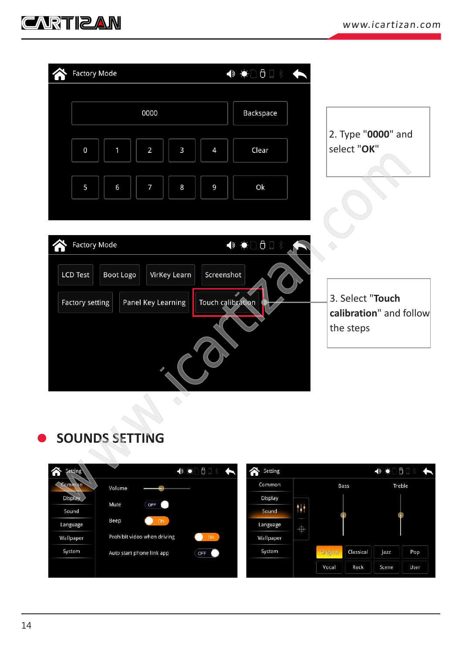<span id="page-13-0"></span>![](_page_13_Picture_1.jpeg)

| <b>Factory Mode</b>                                     | ◆ ◆ ○○□ ↓ ◆       |                                             |
|---------------------------------------------------------|-------------------|---------------------------------------------|
|                                                         |                   |                                             |
| 0000                                                    | Backspace         |                                             |
| $\overline{2}$<br>3<br>$\pmb{0}$<br>$\overline{4}$<br>1 | Clear             | 2. Type "0000" and<br>select "OK"           |
| $\overline{7}$<br>5<br>6<br>8<br>9                      | Ok                |                                             |
| <b>Factory Mode</b>                                     | ◆ ◆ ○ ○ □ 》       |                                             |
| LCD Test<br>Boot Logo<br>VirKey Learn                   | Screenshot        |                                             |
| Panel Key Learning<br>Factory setting                   | Touch calibration | 3. Select "Touch<br>calibration" and follow |
|                                                         |                   | the steps                                   |
|                                                         |                   |                                             |
| $\bigodot$                                              |                   |                                             |
| <b>SOUNDS SETTING</b>                                   |                   |                                             |
| $\theta \Box$<br><b>Setting</b><br>$\bullet$            | Setting           | $\theta$ $\Box$<br>$\bullet$                |
| Common<br>Volume<br><b>Display</b>                      | Common            | Treble<br>Bass                              |
| Mute<br>OFF                                             | Display           |                                             |

#### **SOUNDS SETTING**

| Setting<br>0 | $\blacktriangleright$             | Setting   |               |          |           | To<br>$\bullet$ | G      |
|--------------|-----------------------------------|-----------|---------------|----------|-----------|-----------------|--------|
| Common       | Volume                            | Common    |               |          | Bass      |                 | Treble |
| Display      | Mute<br>OFF                       | Display   |               |          |           |                 |        |
| Sound        |                                   | Sound     | 11            |          |           |                 |        |
| Language     | Beep<br>ON                        | Language  | _<br>$\oplus$ |          |           |                 |        |
| Wallpaper    | Prohibit video when driving<br>ON | Wallpaper |               |          |           |                 |        |
| System       | Auto start phone link app<br>OFF  | System    |               | Original | Classical | azz             | Pop    |
|              |                                   |           |               | Vocal    | Rock      | Scene           | User   |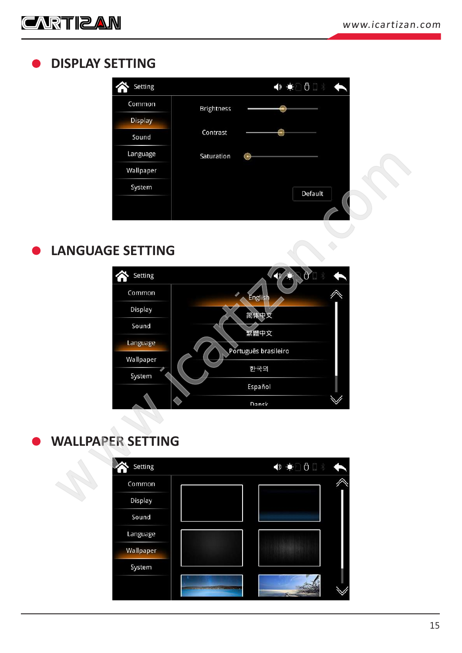<span id="page-14-0"></span>![](_page_14_Picture_0.jpeg)

#### **DISPLAY SETTING**

| Setting        |                   |         | ◆ ◆ △ ○ ○ △ ◆ |  |  |
|----------------|-------------------|---------|---------------|--|--|
| Common         | <b>Brightness</b> |         |               |  |  |
| <b>Display</b> |                   |         |               |  |  |
| Sound          | Contrast          |         |               |  |  |
| Language       | Saturation        |         |               |  |  |
| Wallpaper      |                   |         |               |  |  |
| System         |                   | Default |               |  |  |
|                |                   |         |               |  |  |
|                |                   |         |               |  |  |

#### **LANGUAGE SETTING**

![](_page_14_Figure_5.jpeg)

#### **WALLPAPER SETTING**

![](_page_14_Figure_7.jpeg)